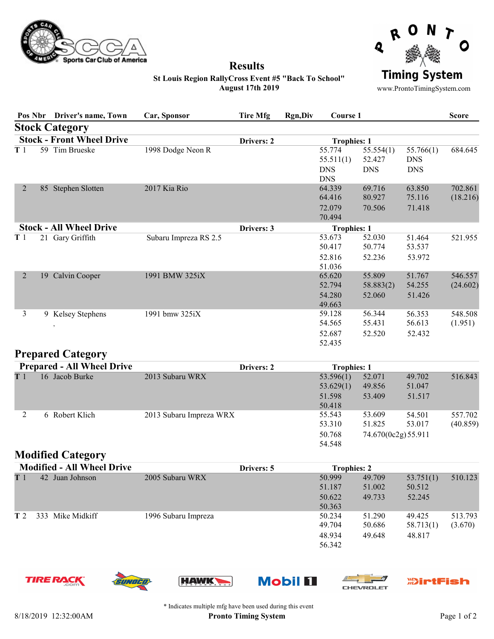

## O N R  $\mathbf O$ Q **Timing System**

St Louis Region RallyCross Event #5 "Back To School" August 17th 2019

Results

www.ProntoTimingSystem.com

|                                   | Pos Nbr Driver's name, Town | Car, Sponsor            | <b>Tire Mfg</b> | <b>Rgn,Div</b> | <b>Course 1</b>                                 |                                         |                                       | <b>Score</b>        |
|-----------------------------------|-----------------------------|-------------------------|-----------------|----------------|-------------------------------------------------|-----------------------------------------|---------------------------------------|---------------------|
|                                   | <b>Stock Category</b>       |                         |                 |                |                                                 |                                         |                                       |                     |
| <b>Stock - Front Wheel Drive</b>  |                             |                         | Drivers: 2      |                | <b>Trophies: 1</b>                              |                                         |                                       |                     |
| T1                                | 59 Tim Brueske              | 1998 Dodge Neon R       |                 |                | 55.774<br>55.511(1)<br><b>DNS</b><br><b>DNS</b> | 55.554(1)<br>52.427<br><b>DNS</b>       | 55.766(1)<br><b>DNS</b><br><b>DNS</b> | 684.645             |
| 2                                 | 85 Stephen Slotten          | 2017 Kia Rio            |                 |                | 64.339<br>64.416<br>72.079<br>70.494            | 69.716<br>80.927<br>70.506              | 63.850<br>75.116<br>71.418            | 702.861<br>(18.216) |
| <b>Stock - All Wheel Drive</b>    |                             |                         | Drivers: 3      |                | <b>Trophies: 1</b>                              |                                         |                                       |                     |
| T 1                               | 21 Gary Griffith            | Subaru Impreza RS 2.5   |                 |                | 53.673<br>50.417<br>52.816<br>51.036            | 52.030<br>50.774<br>52.236              | 51.464<br>53.537<br>53.972            | 521.955             |
| 2                                 | 19 Calvin Cooper            | 1991 BMW 325iX          |                 |                | 65.620<br>52.794<br>54.280<br>49.663            | 55.809<br>58.883(2)<br>52.060           | 51.767<br>54.255<br>51.426            | 546.557<br>(24.602) |
| 3                                 | 9 Kelsey Stephens           | 1991 bmw 325iX          |                 |                | 59.128<br>54.565<br>52.687<br>52.435            | 56.344<br>55.431<br>52.520              | 56.353<br>56.613<br>52.432            | 548.508<br>(1.951)  |
|                                   | <b>Prepared Category</b>    |                         |                 |                |                                                 |                                         |                                       |                     |
| <b>Prepared - All Wheel Drive</b> |                             |                         | Drivers: 2      |                | <b>Trophies: 1</b>                              |                                         |                                       |                     |
| T <sub>1</sub>                    | 16 Jacob Burke              | 2013 Subaru WRX         |                 |                | 53.596(1)<br>53.629(1)<br>51.598<br>50.418      | 52.071<br>49.856<br>53.409              | 49.702<br>51.047<br>51.517            | 516.843             |
| 2                                 | 6 Robert Klich              | 2013 Subaru Impreza WRX |                 |                | 55.543<br>53.310<br>50.768<br>54.548            | 53.609<br>51.825<br>74.670(0c2g) 55.911 | 54.501<br>53.017                      | 557.702<br>(40.859) |
|                                   | <b>Modified Category</b>    |                         |                 |                |                                                 |                                         |                                       |                     |

|                | <b>Modified - All Wheel Drive</b> |                     | <b>Trophies: 2</b> |        |        |           |         |
|----------------|-----------------------------------|---------------------|--------------------|--------|--------|-----------|---------|
| T <sub>1</sub> | 42 Juan Johnson                   | 2005 Subaru WRX     |                    | 50.999 | 49.709 | 53.751(1) | 510.123 |
|                |                                   |                     |                    | 51.187 | 51.002 | 50.512    |         |
|                |                                   |                     |                    | 50.622 | 49.733 | 52.245    |         |
|                |                                   |                     |                    | 50.363 |        |           |         |
| T <sub>2</sub> | 333 Mike Midkiff                  | 1996 Subaru Impreza |                    | 50.234 | 51.290 | 49.425    | 513.793 |
|                |                                   |                     |                    | 49.704 | 50.686 | 58.713(1) | (3.670) |
|                |                                   |                     |                    | 48.934 | 49.648 | 48.817    |         |
|                |                                   |                     |                    | 56.342 |        |           |         |













\* Indicates multiple mfg have been used during this event